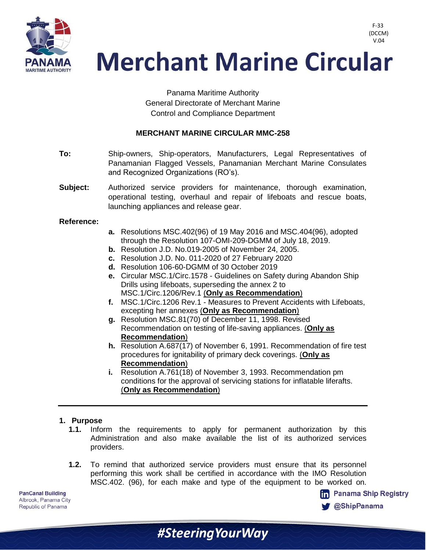

Panama Maritime Authority General Directorate of Merchant Marine Control and Compliance Department

### **MERCHANT MARINE CIRCULAR MMC-258**

- **To:** Ship-owners, Ship-operators, Manufacturers, Legal Representatives of Panamanian Flagged Vessels, Panamanian Merchant Marine Consulates and Recognized Organizations (RO's).
- **Subject:** Authorized service providers for maintenance, thorough examination, operational testing, overhaul and repair of lifeboats and rescue boats, launching appliances and release gear.

#### **Reference:**

- **a.** Resolutions MSC.402(96) of 19 May 2016 and MSC.404(96), adopted through the Resolution 107-OMI-209-DGMM of July 18, 2019.
- **b.** Resolution J.D. No.019-2005 of November 24, 2005.
- **c.** Resolution J.D. No. 011-2020 of 27 February 2020
- **d.** Resolution 106-60-DGMM of 30 October 2019
- **e.** Circular MSC.1/Circ.1578 Guidelines on Safety during Abandon Ship Drills using lifeboats, superseding the annex 2 to MSC.1/Circ.1206/Rev.1 (**Only as Recommendation**)
- **f.** MSC.1/Circ.1206 Rev.1 Measures to Prevent Accidents with Lifeboats, excepting her annexes (**Only as Recommendation**)
- **g.** Resolution MSC.81(70) of December 11, 1998. Revised Recommendation on testing of life-saving appliances. (**Only as Recommendation**)
- **h.** Resolution A.687(17) of November 6, 1991. Recommendation of fire test procedures for ignitability of primary deck coverings. (**Only as Recommendation**)
- **i.** Resolution A.761(18) of November 3, 1993. Recommendation pm conditions for the approval of servicing stations for inflatable liferafts. (**Only as Recommendation**)

#### **1. Purpose**

- **1.1.** Inform the requirements to apply for permanent authorization by this Administration and also make available the list of its authorized services providers.
- **1.2.** To remind that authorized service providers must ensure that its personnel performing this work shall be certified in accordance with the IMO Resolution MSC.402. (96), for each make and type of the equipment to be worked on.

#SteeringYourWay

**PanCanal Building** Albrook, Panama City Republic of Panama



F-33 (DCCM) V.04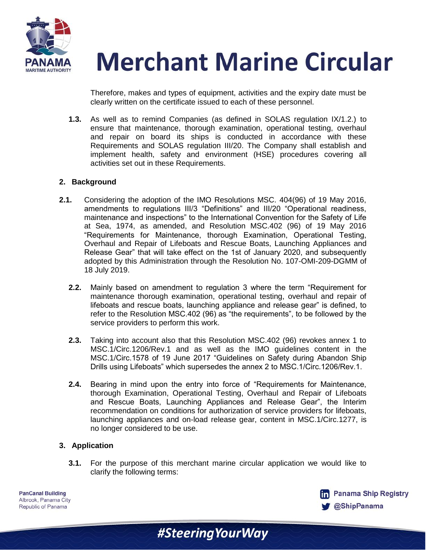

Therefore, makes and types of equipment, activities and the expiry date must be clearly written on the certificate issued to each of these personnel.

**1.3.** As well as to remind Companies (as defined in SOLAS regulation IX/1.2.) to ensure that maintenance, thorough examination, operational testing, overhaul and repair on board its ships is conducted in accordance with these Requirements and SOLAS regulation III/20. The Company shall establish and implement health, safety and environment (HSE) procedures covering all activities set out in these Requirements.

#### **2. Background**

- **2.1.** Considering the adoption of the IMO Resolutions MSC. 404(96) of 19 May 2016, amendments to regulations III/3 "Definitions" and III/20 "Operational readiness, maintenance and inspections" to the International Convention for the Safety of Life at Sea, 1974, as amended, and Resolution MSC.402 (96) of 19 May 2016 "Requirements for Maintenance, thorough Examination, Operational Testing, Overhaul and Repair of Lifeboats and Rescue Boats, Launching Appliances and Release Gear" that will take effect on the 1st of January 2020, and subsequently adopted by this Administration through the Resolution No. 107-OMI-209-DGMM of 18 July 2019.
	- **2.2.** Mainly based on amendment to regulation 3 where the term "Requirement for maintenance thorough examination, operational testing, overhaul and repair of lifeboats and rescue boats, launching appliance and release gear" is defined, to refer to the Resolution MSC.402 (96) as "the requirements", to be followed by the service providers to perform this work.
	- **2.3.** Taking into account also that this Resolution MSC.402 (96) revokes annex 1 to MSC.1/Circ.1206/Rev.1 and as well as the IMO guidelines content in the MSC.1/Circ.1578 of 19 June 2017 "Guidelines on Safety during Abandon Ship Drills using Lifeboats" which supersedes the annex 2 to MSC.1/Circ.1206/Rev.1.
	- **2.4.** Bearing in mind upon the entry into force of "Requirements for Maintenance, thorough Examination, Operational Testing, Overhaul and Repair of Lifeboats and Rescue Boats, Launching Appliances and Release Gear", the Interim recommendation on conditions for authorization of service providers for lifeboats, launching appliances and on-load release gear, content in MSC.1/Circ.1277, is no longer considered to be use.

#### **3. Application**

**3.1.** For the purpose of this merchant marine circular application we would like to clarify the following terms:

#Steering Your Way

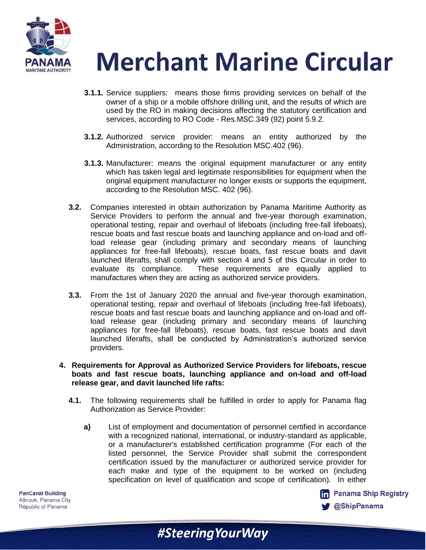

- **3.1.1.** Service suppliers: means those firms providing services on behalf of the owner of a ship or a mobile offshore drilling unit, and the results of which are used by the RO in making decisions affecting the statutory certification and services, according to RO Code - Res.MSC.349 (92) point 5.9.2.
- **3.1.2.** Authorized service provider: means an entity authorized by the Administration, according to the Resolution MSC.402 (96).
- **3.1.3.** Manufacturer: means the original equipment manufacturer or any entity which has taken legal and legitimate responsibilities for equipment when the original equipment manufacturer no longer exists or supports the equipment, according to the Resolution MSC. 402 (96).
- **3.2.** Companies interested in obtain authorization by Panama Maritime Authority as Service Providers to perform the annual and five-year thorough examination, operational testing, repair and overhaul of lifeboats (including free-fall lifeboats), rescue boats and fast rescue boats and launching appliance and on-load and offload release gear (including primary and secondary means of launching appliances for free-fall lifeboats), rescue boats, fast rescue boats and davit launched liferafts, shall comply with section 4 and 5 of this Circular in order to evaluate its compliance. These requirements are equally applied to manufactures when they are acting as authorized service providers.
- **3.3.** From the 1st of January 2020 the annual and five-year thorough examination, operational testing, repair and overhaul of lifeboats (including free-fall lifeboats), rescue boats and fast rescue boats and launching appliance and on-load and offload release gear (including primary and secondary means of launching appliances for free-fall lifeboats), rescue boats, fast rescue boats and davit launched liferafts, shall be conducted by Administration's authorized service providers.
- **4. Requirements for Approval as Authorized Service Providers for lifeboats, rescue boats and fast rescue boats, launching appliance and on-load and off-load release gear, and davit launched life rafts:**
	- **4.1.** The following requirements shall be fulfilled in order to apply for Panama flag Authorization as Service Provider:
		- **a)** List of employment and documentation of personnel certified in accordance with a recognized national, international, or industry-standard as applicable, or a manufacturer's established certification programme (For each of the listed personnel, the Service Provider shall submit the correspondent certification issued by the manufacturer or authorized service provider for each make and type of the equipment to be worked on (including specification on level of qualification and scope of certification). In either

#Steering Your Way

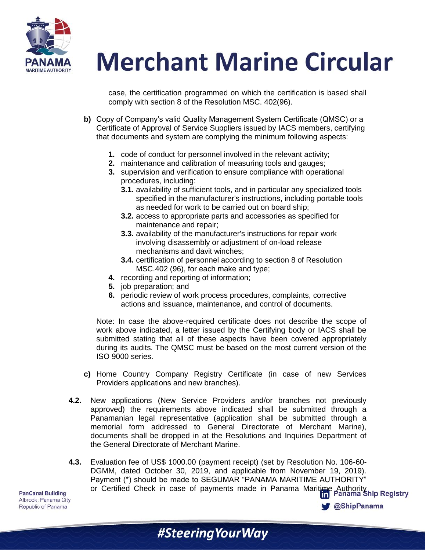

case, the certification programmed on which the certification is based shall comply with section 8 of the Resolution MSC. 402(96).

- **b)** Copy of Company's valid Quality Management System Certificate (QMSC) or a Certificate of Approval of Service Suppliers issued by IACS members, certifying that documents and system are complying the minimum following aspects:
	- **1.** code of conduct for personnel involved in the relevant activity;
	- **2.** maintenance and calibration of measuring tools and gauges;
	- **3.** supervision and verification to ensure compliance with operational procedures, including:
		- **3.1.** availability of sufficient tools, and in particular any specialized tools specified in the manufacturer's instructions, including portable tools as needed for work to be carried out on board ship;
		- **3.2.** access to appropriate parts and accessories as specified for maintenance and repair;
		- **3.3.** availability of the manufacturer's instructions for repair work involving disassembly or adjustment of on-load release mechanisms and davit winches;
		- **3.4.** certification of personnel according to section 8 of Resolution MSC.402 (96), for each make and type;
	- **4.** recording and reporting of information;
	- **5.** job preparation; and
	- **6.** periodic review of work process procedures, complaints, corrective actions and issuance, maintenance, and control of documents.

Note: In case the above-required certificate does not describe the scope of work above indicated, a letter issued by the Certifying body or IACS shall be submitted stating that all of these aspects have been covered appropriately during its audits. The QMSC must be based on the most current version of the ISO 9000 series.

- **c)** Home Country Company Registry Certificate (in case of new Services Providers applications and new branches).
- **4.2.** New applications (New Service Providers and/or branches not previously approved) the requirements above indicated shall be submitted through a Panamanian legal representative (application shall be submitted through a memorial form addressed to General Directorate of Merchant Marine), documents shall be dropped in at the Resolutions and Inquiries Department of the General Directorate of Merchant Marine.
- **4.3.** Evaluation fee of US\$ 1000.00 (payment receipt) (set by Resolution No. 106-60- DGMM, dated October 30, 2019, and applicable from November 19, 2019). Payment (\*) should be made to SEGUMAR "PANAMA MARITIME AUTHORITY" Payment () should be made to exercise and the Panama Maritime Authority<br>or Certified Check in case of payments made in Panama Maritime Authority

**@ShipPanama**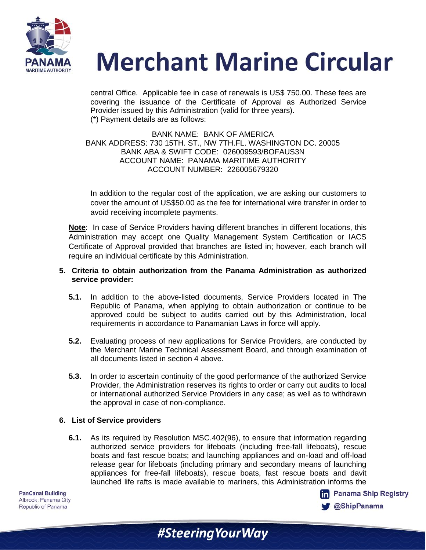

central Office. Applicable fee in case of renewals is US\$ 750.00. These fees are covering the issuance of the Certificate of Approval as Authorized Service Provider issued by this Administration (valid for three years). (\*) Payment details are as follows:

#### BANK NAME: BANK OF AMERICA BANK ADDRESS: 730 15TH. ST., NW 7TH.FL. WASHINGTON DC. 20005 BANK ABA & SWIFT CODE: 026009593/BOFAUS3N ACCOUNT NAME: PANAMA MARITIME AUTHORITY ACCOUNT NUMBER: 226005679320

In addition to the regular cost of the application, we are asking our customers to cover the amount of US\$50.00 as the fee for international wire transfer in order to avoid receiving incomplete payments.

**Note**: In case of Service Providers having different branches in different locations, this Administration may accept one Quality Management System Certification or IACS Certificate of Approval provided that branches are listed in; however, each branch will require an individual certificate by this Administration.

#### **5. Criteria to obtain authorization from the Panama Administration as authorized service provider:**

- **5.1.** In addition to the above-listed documents, Service Providers located in The Republic of Panama, when applying to obtain authorization or continue to be approved could be subject to audits carried out by this Administration, local requirements in accordance to Panamanian Laws in force will apply.
- **5.2.** Evaluating process of new applications for Service Providers, are conducted by the Merchant Marine Technical Assessment Board, and through examination of all documents listed in section 4 above.
- **5.3.** In order to ascertain continuity of the good performance of the authorized Service Provider, the Administration reserves its rights to order or carry out audits to local or international authorized Service Providers in any case; as well as to withdrawn the approval in case of non-compliance.

### **6. List of Service providers**

**6.1.** As its required by Resolution MSC.402(96), to ensure that information regarding authorized service providers for lifeboats (including free-fall lifeboats), rescue boats and fast rescue boats; and launching appliances and on-load and off-load release gear for lifeboats (including primary and secondary means of launching appliances for free-fall lifeboats), rescue boats, fast rescue boats and davit launched life rafts is made available to mariners, this Administration informs the

#Steering Your Way

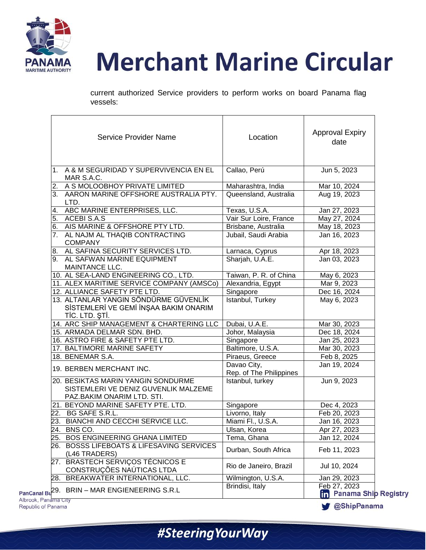

current authorized Service providers to perform works on board Panama flag vessels:

| <b>Service Provider Name</b>                                                                             | Location                               | <b>Approval Expiry</b><br>date                  |
|----------------------------------------------------------------------------------------------------------|----------------------------------------|-------------------------------------------------|
| 1. A & M SEGURIDAD Y SUPERVIVENCIA EN EL<br>MAR S.A.C.                                                   | Callao, Perú                           | Jun 5, 2023                                     |
| 2. A S MOLOOBHOY PRIVATE LIMITED                                                                         | Maharashtra, India                     | Mar 10, 2024                                    |
| 3. AARON MARINE OFFSHORE AUSTRALIA PTY.<br>LTD.                                                          | Queensland, Australia                  | Aug 19, 2023                                    |
| 4. ABC MARINE ENTERPRISES, LLC.                                                                          | Texas, U.S.A.                          | Jan 27, 2023                                    |
| 5. ACEBI S.A.S                                                                                           | Vair Sur Loire, France                 | May 27, 2024                                    |
| 6. AIS MARINE & OFFSHORE PTY LTD.                                                                        | Brisbane, Australia                    | May 18, 2023                                    |
| 7. AL NAJM AL THAQIB CONTRACTING<br><b>COMPANY</b>                                                       | Jubail, Saudi Arabia                   | Jan 16, 2023                                    |
| 8. AL SAFINA SECURITY SERVICES LTD.                                                                      | Larnaca, Cyprus                        | Apr 18, 2023                                    |
| 9. AL SAFWAN MARINE EQUIPMENT<br>MAINTANCE LLC.                                                          | Sharjah, U.A.E.                        | Jan 03, 2023                                    |
| 10. AL SEA-LAND ENGINEERING CO., LTD.                                                                    | Taiwan, P. R. of China                 | May 6, 2023                                     |
| 11. ALEX MARITIME SERVICE COMPANY (AMSCo)                                                                | Alexandria, Egypt                      | Mar 9, 2023                                     |
| 12. ALLIANCE SAFETY PTE LTD.                                                                             | Singapore                              | Dec 16, 2024                                    |
| 13. ALTANLAR YANGIN SÖNDÜRME GÜVENLİK<br>SİSTEMLERİ VE GEMİ İNŞAA BAKIM ONARIM<br>TİC. LTD. ŞTİ.         | Istanbul, Turkey                       | May 6, 2023                                     |
| 14. ARC SHIP MANAGEMENT & CHARTERING LLC                                                                 | Dubai, U.A.E.                          | Mar 30, 2023                                    |
| 15. ARMADA DELMAR SDN. BHD.                                                                              | Johor, Malaysia                        | Dec 18, 2024                                    |
| 16. ASTRO FIRE & SAFETY PTE LTD.                                                                         | Singapore                              | Jan 25, 2023                                    |
| 17. BALTIMORE MARINE SAFETY                                                                              | Baltimore, U.S.A.                      | Mar 30, 2023                                    |
| 18. BENEMAR S.A.                                                                                         | Piraeus, Greece                        | Feb 8, 2025                                     |
| 19. BERBEN MERCHANT INC.                                                                                 | Davao City,<br>Rep. of The Philippines | Jan 19, 2024                                    |
| 20. BESIKTAS MARIN YANGIN SONDURME<br>SISTEMLERI VE DENIZ GUVENLIK MALZEME<br>PAZ.BAKIM ONARIM LTD. STI. | Istanbul, turkey                       | Jun 9, 2023                                     |
| 21. BEYOND MARINE SAFETY PTE. LTD.                                                                       | Singapore                              | Dec 4, 2023                                     |
| 22. BG SAFE S.R.L.                                                                                       | Livorno, Italy                         | Feb 20, 2023                                    |
| 23. BIANCHI AND CECCHI SERVICE LLC.                                                                      | Miami Fl., U.S.A.                      | Jan 16, 2023                                    |
| 24. BNS CO.                                                                                              | Ulsan, Korea                           | Apr 27, 2023                                    |
| 25. BOS ENGINEERING GHANA LIMITED                                                                        | Tema, Ghana                            | Jan 12, 2024                                    |
| 26. BOSSS LIFEBOATS & LIFESAVING SERVICES<br>(L46 TRADERS)                                               | Durban, South Africa                   | Feb 11, 2023                                    |
| 27. BRASTECH SERVIÇOS TÉCNICOS E<br>CONSTRUÇÕES NAÚTICAS LTDA                                            | Rio de Janeiro, Brazil                 | Jul 10, 2024                                    |
| 28. BREAKWATER INTERNATIONAL, LLC.                                                                       | Wilmington, U.S.A.                     | Jan 29, 2023                                    |
| PanCanal Bu <sup>29</sup> . BRIN - MAR ENGIENEERING S.R.L<br>Albrook, Panama City                        | Brindisi, Italy                        | Feb 27, 2023<br><b>The Panama Ship Registry</b> |

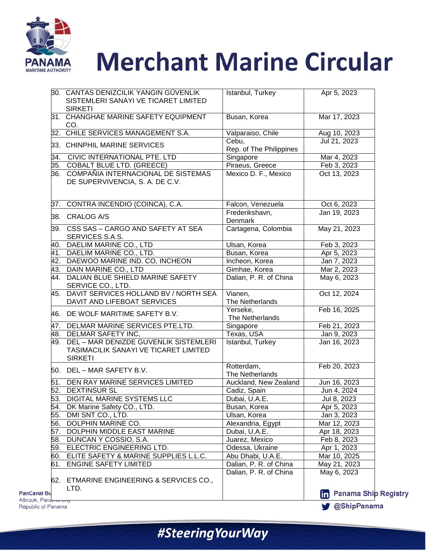

| Republic of Panama                        |                                                                           |                                          | <b>ShipPanama</b>                      |
|-------------------------------------------|---------------------------------------------------------------------------|------------------------------------------|----------------------------------------|
| <b>PanCanal Bu</b><br>Albrook, Panama Ony | 62. ETMARINE ENGINEERING & SERVICES CO.,<br>LTD.                          | Dalian, P. R. of China                   | May 6, 2023<br><b>in</b> Panama Ship R |
| 61.                                       | <b>ENGINE SAFETY LIMITED</b>                                              | Dalian, P. R. of China                   | May 21, 2023                           |
| 60.                                       | ELITE SAFETY & MARINE SUPPLIES L.L.C.                                     | Abu Dhabi, U.A.E.                        | Mar 10, 2025                           |
|                                           | 59. ELECTRIC ENGINEERING LTD.                                             | Odessa, Ukraine                          | Apr 1, 2023                            |
| 58.                                       | DUNCAN Y COSSIO, S.A.                                                     | Juarez, Mexico                           | Feb 8, 2023                            |
| 57.                                       | DOLPHIN MIDDLE EAST MARINE                                                | Dubai, U.A.E.                            | Apr 18, 2023                           |
| 56.                                       | DOLPHIN MARINE CO.                                                        | Alexandria, Egypt                        | Mar 12, 2023                           |
| 55.                                       | DMI SNT CO., LTD.                                                         | Ulsan, Korea                             | Jan 3, 2023                            |
| 54.                                       | DK Marine Safety CO., LTD.                                                | Busan, Korea                             | Apr 5, 2023                            |
|                                           | 53. DIGITAL MARINE SYSTEMS LLC                                            | Dubai, U.A.E.                            | Jul 8, 2023                            |
|                                           | 52. DEXTINSUR SL                                                          | Cadiz, Spain                             | Jun 4, 2024                            |
|                                           | 50. DEL - MAR SAFETY B.V.<br>51. DEN RAY MARINE SERVICES LIMITED          | The Netherlands<br>Auckland, New Zealand | Jun 16, 2023                           |
|                                           | TASIMACILIK SANAYI VE TICARET LIMITED<br><b>SIRKETI</b>                   | Rotterdam,                               | Feb 20, 2023                           |
|                                           | 49. DEL - MAR DENIZDE GUVENLIK SISTEMLERI                                 | Istanbul, Turkey                         | Jan 16, 2023                           |
|                                           | 48. DELMAR SAFETY INC,                                                    | Texas, USA                               | Jan 9, 2023                            |
|                                           | 47. DELMAR MARINE SERVICES PTE.LTD.                                       | Singapore                                | Feb 21, 2023                           |
|                                           | 46. DE WOLF MARITIME SAFETY B.V.                                          | Yerseke,<br>The Netherlands              | Feb 16, 2025                           |
|                                           | 45. DAVIT SERVICES HOLLAND BV / NORTH SEA<br>DAVIT AND LIFEBOAT SERVICES  | Vianen,<br>The Netherlands               | Oct 12, 2024                           |
|                                           | SERVICE CO., LTD.                                                         |                                          |                                        |
|                                           | 44. DALIAN BLUE SHIELD MARINE SAFETY                                      | Dalian, P. R. of China                   | May 6, 2023                            |
|                                           | 43. DAIN MARINE CO., LTD                                                  | Gimhae, Korea                            | Mar 2, 2023                            |
|                                           | 42. DAEWOO MARINE IND. CO, INCHEON                                        | Incheon, Korea                           | Jan 7, 2023                            |
|                                           | 41. DAELIM MARINE CO., LTD.                                               | Busan, Korea                             | Apr 5, 2023                            |
|                                           | 40. DAELIM MARINE CO., LTD                                                | Ulsan, Korea                             | Feb 3, 2023                            |
|                                           | SERVICES S.A.S.                                                           |                                          |                                        |
|                                           | 39. CSS SAS - CARGO AND SAFETY AT SEA                                     | Denmark<br>Cartagena, Colombia           | May 21, 2023                           |
|                                           | 38. CRALOG A/S                                                            | Frederikshavn,                           | Jan 19, 2023                           |
|                                           | 37. CONTRA INCENDIO (COINCA), C.A.                                        | Falcon, Venezuela                        | Oct 6, 2023                            |
|                                           | 36. COMPAÑIA INTERNACIONAL DE SISTEMAS<br>DE SUPERVIVENCIA, S. A. DE C.V. | Mexico D. F., Mexico                     | Oct 13, 2023                           |
|                                           | 35. COBALT BLUE LTD. (GREECE)                                             | Piraeus, Greece                          | Feb 3, 2023                            |
|                                           | 34. CIVIC INTERNATIONAL PTE. LTD                                          | Singapore                                | Mar 4, 2023                            |
|                                           | 33. CHINPHIL MARINE SERVICES                                              | Rep. of The Philippines                  |                                        |
|                                           |                                                                           | Cebu,                                    | Jul 21, 2023                           |
|                                           | CO.<br>32. CHILE SERVICES MANAGEMENT S.A.                                 | Valparaiso, Chile                        | Aug 10, 2023                           |
|                                           | 31. CHANGHAE MARINE SAFETY EQUIPMENT                                      | Busan, Korea                             | Mar 17, 2023                           |
|                                           | SISTEMLERI SANAYI VE TICARET LIMITED<br><b>SIRKETI</b>                    |                                          |                                        |
|                                           | 30. CANTAS DENIZCILIK YANGIN GÜVENLIK                                     | Istanbul, Turkey                         | Apr 5, 2023                            |

#SteeringYourWay

**Registry**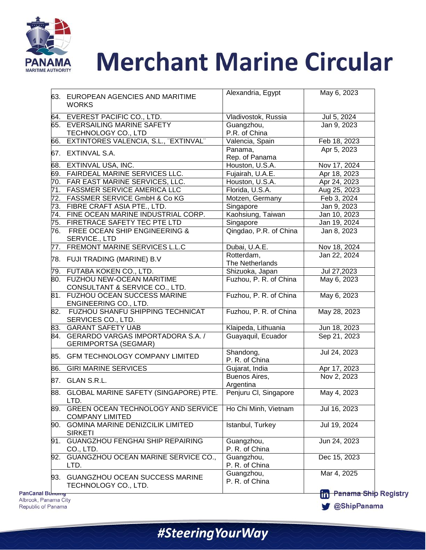

|     | 63. EUROPEAN AGENCIES AND MARITIME<br><b>WORKS</b>                   | Alexandria, Egypt            | May 6, 2023                                   |
|-----|----------------------------------------------------------------------|------------------------------|-----------------------------------------------|
| 64. | EVEREST PACIFIC CO., LTD.                                            | Vladivostok, Russia          | Jul 5, 2024                                   |
|     | 65. EVERSAILING MARINE SAFETY<br>TECHNOLOGY CO., LTD                 | Guangzhou,<br>P.R. of China  | Jan 9, 2023                                   |
| 66. | EXTINTORES VALENCIA, S.L., "EXTINVAL"                                | Valencia, Spain              | Feb 18, 2023                                  |
|     | 67. EXTINVAL S.A.                                                    | Panama,<br>Rep. of Panama    | Apr 5, 2023                                   |
|     | 68. EXTINVAL USA, INC.                                               | Houston, U.S.A.              | Nov 17, 2024                                  |
|     | 69. FAIRDEAL MARINE SERVICES LLC.                                    | Fujairah, U.A.E.             | Apr 18, 2023                                  |
|     | 70. FAR EAST MARINE SERVICES, LLC.                                   | Houston, U.S.A.              | Apr 24, 2023                                  |
| 71. | <b>FASSMER SERVICE AMERICA LLC</b>                                   | Florida, U.S.A.              | Aug 25, 2023                                  |
|     | 72. FASSMER SERVICE GmbH & Co KG                                     | Motzen, Germany              | Feb 3, 2024                                   |
|     | 73. FIBRE CRAFT ASIA PTE., LTD.                                      | Singapore                    | Jan 9, 2023                                   |
|     | 74. FINE OCEAN MARINE INDUSTRIAL CORP.                               | Kaohsiung, Taiwan            | Jan 10, 2023                                  |
|     | 75. FIRETRACE SAFETY TEC PTE LTD                                     | Singapore                    | Jan 19, 2024                                  |
|     | 76. FREE OCEAN SHIP ENGINEERING &<br>SERVICE., LTD                   | Qingdao, P.R. of China       | Jan 8, 2023                                   |
|     | 77. FREMONT MARINE SERVICES L.L.C                                    | Dubai, U.A.E.                | Nov 18, 2024                                  |
|     |                                                                      | Rotterdam,                   | Jan 22, 2024                                  |
|     | 78. FUJI TRADING (MARINE) B.V                                        | The Netherlands              |                                               |
|     | 79. FUTABA KOKEN CO., LTD.                                           | Shizuoka, Japan              | Jul 27,2023                                   |
|     | 80. FUZHOU NEW-OCEAN MARITIME<br>CONSULTANT & SERVICE CO., LTD.      | Fuzhou, P. R. of China       | May 6, 2023                                   |
|     | 81. FUZHOU OCEAN SUCCESS MARINE<br>ENGINEERING CO., LTD.             | Fuzhou, P. R. of China       | May 6, 2023                                   |
|     | 82. FUZHOU SHANFU SHIPPING TECHNICAT<br>SERVICES CO., LTD.           | Fuzhou, P. R. of China       | May 28, 2023                                  |
|     | 83. GARANT SAFETY UAB                                                | Klaipeda, Lithuania          | Jun 18, 2023                                  |
|     | 84. GERARDO VARGAS IMPORTADORA S.A. /<br><b>GERIMPORTSA (SEGMAR)</b> | Guayaquil, Ecuador           | Sep 21, 2023                                  |
|     | 85. GFM TECHNOLOGY COMPANY LIMITED                                   | Shandong,<br>P. R. of China  | Jul 24, 2023                                  |
|     | 86. GIRI MARINE SERVICES                                             | Gujarat, India               | Apr 17, 2023                                  |
|     | 87. GLAN S.R.L.                                                      | Buenos Aires,<br>Argentina   | Nov 2, 2023                                   |
|     | 88. GLOBAL MARINE SAFETY (SINGAPORE) PTE.<br>LTD.                    | Penjuru CI, Singapore        | May 4, 2023                                   |
| 89. | GREEN OCEAN TECHNOLOGY AND SERVICE<br><b>COMPANY LIMITED</b>         | Ho Chi Minh, Vietnam         | Jul 16, 2023                                  |
| 90. | <b>GOMINA MARINE DENIZCILIK LIMITED</b><br><b>SIRKETI</b>            | Istanbul, Turkey             | Jul 19, 2024                                  |
| 91. | <b>GUANGZHOU FENGHAI SHIP REPAIRING</b><br>CO., LTD.                 | Guangzhou,<br>P. R. of China | Jun 24, 2023                                  |
| 92. | GUANGZHOU OCEAN MARINE SERVICE CO.,<br>LTD.                          | Guangzhou,<br>P. R. of China | Dec 15, 2023                                  |
|     | 93. GUANGZHOU OCEAN SUCCESS MARINE<br>TECHNOLOGY CO., LTD.           | Guangzhou,<br>P. R. of China | Mar 4, 2025<br><b>RA</b> Panama Ship Registry |

**PanCanal Bu** Albrook, Panama City Republic of Panama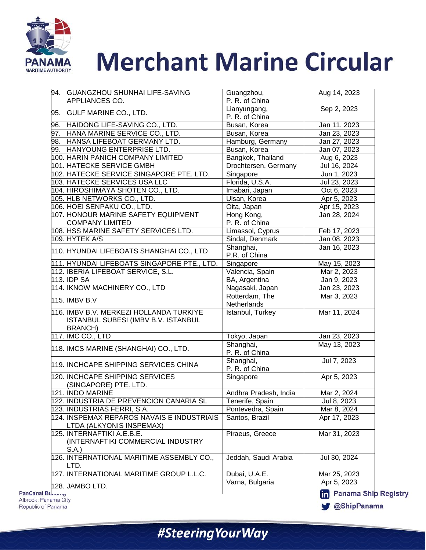

| 94. GUANGZHOU SHUNHAI LIFE-SAVING<br>APPLIANCES CO.                                       | Guangzhou,<br>P. R. of China  | Aug 14, 2023                |
|-------------------------------------------------------------------------------------------|-------------------------------|-----------------------------|
| 95. GULF MARINE CO., LTD.                                                                 | Lianyungang,                  | Sep 2, 2023                 |
|                                                                                           | P. R. of China                |                             |
| 96. HAIDONG LIFE-SAVING CO., LTD.                                                         | Busan, Korea                  | Jan 11, 2023                |
| 97. HANA MARINE SERVICE CO., LTD.                                                         | Busan, Korea                  | Jan 23, 2023                |
| 98. HANSA LIFEBOAT GERMANY LTD.                                                           | Hamburg, Germany              | Jan 27, 2023                |
| 99. HANYOUNG ENTERPRISE LTD.                                                              | Busan, Korea                  | Jan 07, 2023                |
| 100. HARIN PANICH COMPANY LIMITED                                                         | Bangkok, Thailand             | Aug 6, 2023                 |
| 101. HATECKE SERVICE GMBH<br>102. HATECKE SERVICE SINGAPORE PTE. LTD.                     | Drochtersen, Germany          | Jul 16, 2024                |
|                                                                                           | Singapore                     | Jun 1, 2023                 |
| 103. HATECKE SERVICES USA LLC                                                             | Florida, U.S.A.               | Jul 23, 2023                |
| 104. HIROSHIMAYA SHOTEN CO., LTD.                                                         | Imabari, Japan                | Oct 6, 2023                 |
| 105. HLB NETWORKS CO., LTD.                                                               | Ulsan, Korea                  | Apr 5, 2023                 |
| 106. HOEI SENPAKU CO., LTD.                                                               | Oita, Japan                   | Apr 15, 2023                |
| 107. HONOUR MARINE SAFETY EQUIPMENT                                                       | Hong Kong,                    | Jan 28, 2024                |
| <b>COMPANY LIMITED</b>                                                                    | P. R. of China                |                             |
| 108. HSS MARINE SAFETY SERVICES LTD.                                                      | Limassol, Cyprus              | Feb 17, 2023                |
| 109. HYTEK A/S                                                                            | Sindal, Denmark               | Jan 08, 2023                |
| 110. HYUNDAI LIFEBOATS SHANGHAI CO., LTD                                                  | Shanghai,<br>P.R. of China    | Jan 16, 2023                |
| 111. HYUNDAI LIFEBOATS SINGAPORE PTE., LTD.                                               | Singapore                     | May 15, 2023                |
| 112. IBERIA LIFEBOAT SERVICE, S.L.                                                        | Valencia, Spain               | Mar 2, 2023                 |
| 113. IDP SA                                                                               | BA, Argentina                 | Jan 9, 2023                 |
| 114. IKNOW MACHINERY CO., LTD                                                             | Nagasaki, Japan               | Jan 23, 2023                |
| <b>115. IMBV B.V</b>                                                                      | Rotterdam, The<br>Netherlands | Mar 3, 2023                 |
| 116. IMBV B.V. MERKEZI HOLLANDA TURKIYE<br>ISTANBUL SUBESI (IMBV B.V. ISTANBUL<br>BRANCH) | Istanbul, Turkey              | Mar 11, 2024                |
| 117. IMC CO., LTD                                                                         | Tokyo, Japan                  | Jan 23, 2023                |
| 118. IMCS MARINE (SHANGHAI) CO., LTD.                                                     | Shanghai,<br>P. R. of China   | May 13, 2023                |
| 119. INCHCAPE SHIPPING SERVICES CHINA                                                     | Shanghai,<br>P. R. of China   | Jul 7, 2023                 |
| 120. INCHCAPE SHIPPING SERVICES<br>(SINGAPORE) PTE. LTD.                                  | Singapore                     | Apr 5, 2023                 |
| 121. INDO MARINE                                                                          | Andhra Pradesh, India         | Mar 2, 2024                 |
| 122. INDUSTRIA DE PREVENCION CANARIA SL                                                   | Tenerife, Spain               | Jul 8, 2023                 |
| 123. INDUSTRIAS FERRI, S.A.                                                               | Pontevedra, Spain             | Mar 8, 2024                 |
| 124. INSPEMAX REPAROS NAVAIS E INDUSTRIAIS<br>LTDA (ALKYONIS INSPEMAX)                    | Santos, Brazil                | Apr 17, 2023                |
| 125. INTERNAFTIKI A.E.B.E.<br>(INTERNAFTIKI COMMERCIAL INDUSTRY<br>S.A.                   | Piraeus, Greece               | Mar 31, 2023                |
| 126. INTERNATIONAL MARITIME ASSEMBLY CO.,<br>LTD.                                         | Jeddah, Saudi Arabia          | Jul 30, 2024                |
| 127. INTERNATIONAL MARITIME GROUP L.L.C.                                                  | Dubai, U.A.E.                 | Mar 25, 2023                |
| 128. JAMBO LTD.                                                                           | Varna, Bulgaria               | Apr 5, 2023                 |
|                                                                                           |                               | <b>Panama Ship Registry</b> |

**PanCanal Bu** Albrook, Panama City Republic of Panama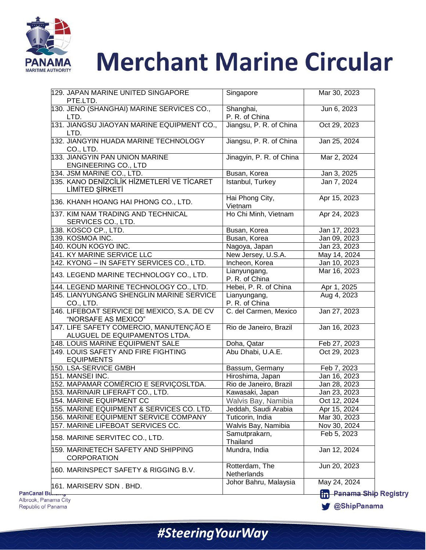

| 129. JAPAN MARINE UNITED SINGAPORE<br>PTE.LTD.                           | Singapore                      | Mar 30, 2023                                              |
|--------------------------------------------------------------------------|--------------------------------|-----------------------------------------------------------|
| 130. JENO (SHANGHAI) MARINE SERVICES CO.,<br>LTD.                        | Shanghai,<br>P. R. of China    | Jun 6, 2023                                               |
| 131. JIANGSU JIAOYAN MARINE EQUIPMENT CO.,<br>LTD.                       | Jiangsu, P. R. of China        | Oct 29, 2023                                              |
| 132. JIANGYIN HUADA MARINE TECHNOLOGY<br>CO., LTD.                       | Jiangsu, P. R. of China        | Jan 25, 2024                                              |
| 133. JIANGYIN PAN UNION MARINE<br><b>ENGINEERING CO., LTD</b>            | Jinagyin, P. R. of China       | Mar 2, 2024                                               |
| 134. JSM MARINE CO., LTD.                                                | Busan, Korea                   | Jan 3, 2025                                               |
| 135. KANO DENIZCILIK HIZMETLERI VE TICARET<br>LİMİTED ŞİRKETİ            | Istanbul, Turkey               | Jan 7, 2024                                               |
| 136. KHANH HOANG HAI PHONG CO., LTD.                                     | Hai Phong City,<br>Vietnam     | Apr 15, 2023                                              |
| 137. KIM NAM TRADING AND TECHNICAL<br>SERVICES CO., LTD.                 | Ho Chi Minh, Vietnam           | Apr 24, 2023                                              |
| 138. KOSCO CP., LTD.                                                     | Busan, Korea                   | Jan 17, 2023                                              |
| 139. KOSMOA INC.                                                         | Busan, Korea                   | Jan 09, 2023                                              |
| 140. KOUN KOGYO INC.                                                     | Nagoya, Japan                  | Jan 23, 2023                                              |
| 141. KY MARINE SERVICE LLC                                               | New Jersey, U.S.A.             | May 14, 2024                                              |
| 142. KYONG – IN SAFETY SERVICES CO., LTD.                                | Incheon, Korea                 | Jan 10, 2023                                              |
| 143. LEGEND MARINE TECHNOLOGY CO., LTD.                                  | Lianyungang,<br>P. R. of China | Mar 16, 2023                                              |
| 144. LEGEND MARINE TECHNOLOGY CO., LTD.                                  | Hebei, P. R. of China          | Apr 1, 2025                                               |
| 145. LIANYUNGANG SHENGLIN MARINE SERVICE<br>CO., LTD.                    | Lianyungang,<br>P. R. of China | Aug 4, 2023                                               |
| 146. LIFEBOAT SERVICE DE MEXICO, S.A. DE CV<br>"NORSAFE AS MEXICO"       | C. del Carmen, Mexico          | Jan 27, 2023                                              |
| 147. LIFE SAFETY COMERCIO, MANUTENÇÃO E<br>ALUGUEL DE EQUIPAMENTOS LTDA. | Rio de Janeiro, Brazil         | Jan 16, 2023                                              |
| 148. LOUIS MARINE EQUIPMENT SALE                                         | Doha, Qatar                    | Feb 27, 2023                                              |
| 149. LOUIS SAFETY AND FIRE FIGHTING<br><b>EQUIPMENTS</b>                 | Abu Dhabi, U.A.E.              | Oct 29, 2023                                              |
| 150. LSA-SERVICE GMBH                                                    | Bassum, Germany                | Feb 7, 2023                                               |
| 151. MANSEI INC.                                                         | Hiroshima, Japan               | Jan 16, 2023                                              |
| 152. MAPAMAR COMÉRCIO E SERVIÇOSLTDA.                                    | Rio de Janeiro, Brazil         | Jan 28, 2023                                              |
| 153. MARINAIR LIFERAFT CO., LTD.                                         | Kawasaki, Japan                | Jan 23, 2023                                              |
| 154. MARINE EQUIPMENT CC                                                 | Walvis Bay, Namibia            | Oct 12, 2024                                              |
| 155. MARINE EQUIPMENT & SERVICES CO. LTD.                                | Jeddah, Saudi Arabia           | Apr 15, 2024                                              |
| 156. MARINE EQUIPMENT SERVICE COMPANY                                    | Tuticorin, India               | Mar 30, 2023                                              |
| 157. MARINE LIFEBOAT SERVICES CC.                                        | Walvis Bay, Namibia            | Nov 30, 2024                                              |
| 158. MARINE SERVITEC CO., LTD.                                           | Samutprakarn,<br>Thailand      | Feb 5, 2023                                               |
| 159. MARINETECH SAFETY AND SHIPPING<br><b>CORPORATION</b>                | Mundra, India                  | Jan 12, 2024                                              |
| 160. MARINSPECT SAFETY & RIGGING B.V.                                    | Rotterdam, The<br>Netherlands  | Jun 20, 2023                                              |
| 161. MARISERV SDN. BHD.                                                  | Johor Bahru, Malaysia          | May 24, 2024<br><b>R<sub>n</sub></b> Panama Ship Registry |

**PanCanal Bu** Albrook, Panama City Republic of Panama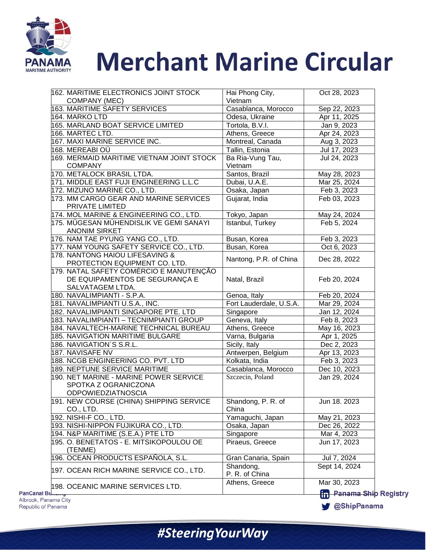

| 162. MARITIME ELECTRONICS JOINT STOCK                                                         | Hai Phong City,<br>Vietnam  | Oct 28, 2023                |
|-----------------------------------------------------------------------------------------------|-----------------------------|-----------------------------|
| COMPANY (MEC)<br>163. MARITIME SAFETY SERVICES                                                | Casablanca, Morocco         |                             |
| 164. MARKO LTD                                                                                | Odesa, Ukraine              | Sep 22, 2023                |
| 165. MARLAND BOAT SERVICE LIMITED                                                             | Tortola, B.V.I.             | Apr 11, 2025                |
| 166. MARTEC LTD.                                                                              |                             | Jan 9, 2023<br>Apr 24, 2023 |
| 167. MAXI MARINE SERVICE INC.                                                                 | Athens, Greece              |                             |
| 168. MEREABI OÜ                                                                               | Montreal, Canada            | Aug 3, 2023                 |
| 169. MERMAID MARITIME VIETNAM JOINT STOCK                                                     | Tallin, Estonia             | Jul 17, 2023                |
| <b>COMPANY</b>                                                                                | Ba Ria-Vung Tau,<br>Vietnam | Jul 24, 2023                |
| 170. METALOCK BRASIL LTDA.                                                                    | Santos, Brazil              | May 28, 2023                |
| 171. MIDDLE EAST FUJI ENGINEERING L.L.C                                                       | Dubai, U.A.E.               | Mar 25, 2024                |
| 172. MIZUNO MARINE CO., LTD.                                                                  | Osaka, Japan                | Feb 3, 2023                 |
| 173. MM CARGO GEAR AND MARINE SERVICES<br>PRIVATE LIMITED                                     | Gujarat, India              | Feb 03, 2023                |
| 174. MOL MARINE & ENGINEERING CO., LTD.                                                       | Tokyo, Japan                | May 24, 2024                |
| 175. MÜGESAN MÚHENDISLIK VE GEMI SANAYI<br><b>ANONIM SIRKET</b>                               | Istanbul, Turkey            | Feb 5, 2024                 |
| 176. NAM TAE PYUNG YANG CO., LTD.                                                             | Busan, Korea                | Feb 3, 2023                 |
| 177. NAM YOUNG SAFETY SERVICE CO., LTD.                                                       | Busan, Korea                | Oct 6, 2023                 |
| 178. NANTONG HAIOU LIFESAVING &<br>PROTECTION EQUIPMENT CO. LTD.                              | Nantong, P.R. of China      | Dec 28, 2022                |
| 179. NATAL SAFETY COMÉRCIO E MANUTENÇÃO<br>DE EQUIPAMENTOS DE SEGURANÇA E<br>SALVATAGEM LTDA. | Natal, Brazil               | Feb 20, 2024                |
| 180. NAVALIMPIANTI - S.P.A.                                                                   | Genoa, Italy                | Feb 20, 2024                |
| 181. NAVALIMPIANTI U.S.A., INC.                                                               | Fort Lauderdale, U.S.A.     | Mar 29, 2024                |
| 182. NAVALIMPIANTI SINGAPORE PTE. LTD                                                         | Singapore                   | Jan 12, 2024                |
| 183. NAVALIMPIANTI - TECNIMPIANTI GROUP                                                       | Geneva, Italy               | Feb 8, 2023                 |
| 184. NAVALTECH-MARINE TECHNICAL BUREAU                                                        | Athens, Greece              | May 16, 2023                |
| 185. NAVIGATION MARITIME BULGARE                                                              | Varna, Bulgaria             | Apr 1, 2025                 |
| 186. NAVIGATION'S S.R.L.                                                                      | Sicily, Italy               | Dec 2, 2023                 |
| 187. NAVISAFE NV                                                                              | Antwerpen, Belgium          | Apr 13, 2023                |
| 188. NCGB ENGINEERING CO. PVT. LTD                                                            | Kolkata, India              | Feb 3, 2023                 |
| 189. NEPTUNE SERVICE MARITIME                                                                 | Casablanca, Morocco         | Dec 10, 2023                |
| 190. NET MARINE - MARINE POWER SERVICE                                                        | Szczecin, Poland            | Jan 29, 2024                |
| SPOTKA Z OGRANICZONA<br><b>ODPOWIEDZIATNOSCIA</b>                                             |                             |                             |
| 191. NEW COURSE (CHINA) SHIPPING SERVICE<br>CO., LTD.                                         | Shandong, P. R. of<br>China | Jun 18. 2023                |
| 192. NISHI-F CO., LTD.                                                                        | Yamaguchi, Japan            | May 21, 2023                |
| 193. NISHI-NIPPON FUJIKURA CO., LTD.                                                          | Osaka, Japan                | Dec 26, 2022                |
| 194. N&P MARITIME (S.E.A.) PTE LTD                                                            | Singapore                   | Mar 4, 2023                 |
| 195. O. BENETATOS - E. MITSIKOPOULOU OE                                                       | Piraeus, Greece             | Jun 17, 2023                |
| (TENME)<br>196. OCEAN PRODUCTS ESPAÑOLA, S.L.                                                 | Gran Canaria, Spain         | Jul 7, 2024                 |
| 197. OCEAN RICH MARINE SERVICE CO., LTD.                                                      | Shandong,<br>P. R. of China | Sept 14, 2024               |

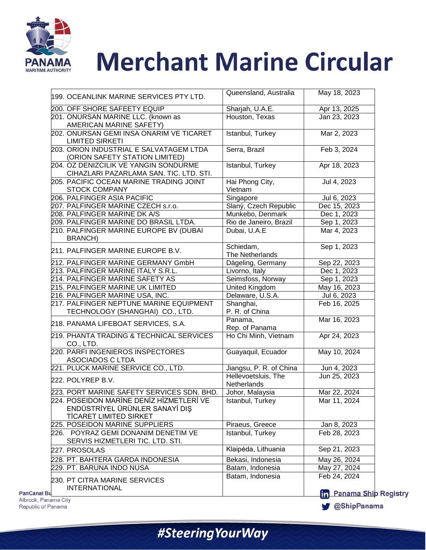

| 199. OCEANLINK MARINE SERVICES PTY LTD.                                    | Queensland, Australia     | May 18, 2023                   |
|----------------------------------------------------------------------------|---------------------------|--------------------------------|
| 200. OFF SHORE SAFEETY EQUIP                                               | Sharjah, U.A.E.           | Apr 13, 2025                   |
| 201. ONURSAN MARINE LLC. (known as                                         | Houston, Texas            | Jan 23, 2023                   |
| AMERICAN MARINE SAFETY)                                                    |                           |                                |
| 202. ONURSAN GEMI INSA ONARIM VE TICARET                                   | Istanbul, Turkey          | Mar 2, 2023                    |
| <b>LIMITED SIRKETI</b>                                                     |                           |                                |
| 203. ORION INDUSTRIAL E SALVATAGEM LTDA                                    | Serra, Brazil             | Feb 3, 2024                    |
| (ORION SAFETY STATION LIMITED)                                             |                           |                                |
| 204. OZ DENIZCILIK VE YANGIN SONDURME                                      | Istanbul, Turkey          | Apr 18, 2023                   |
| CIHAZLARI PAZARLAMA SAN. TIC. LTD. STI.                                    |                           |                                |
| <b>205. PACIFIC OCEAN MARINE TRADING JOINT</b>                             | Hai Phong City,           | Jul 4, 2023                    |
| <b>STOCK COMPANY</b>                                                       | Vietnam                   |                                |
| 206. PALFINGER ASIA PACIFIC                                                | Singapore                 | Jul 6, 2023                    |
| 207. PALFINGER MARINE CZECH s.r.o.                                         | Slaný, Czech Republic     | Dec 15, 2023                   |
| 208. PALFINGER MARINE DK A/S                                               | Munkebo, Denmark          | Dec 1, 2023                    |
| 209. PALFINGER MARINE DO BRASIL LTDA.                                      | Rio de Janeiro, Brazil    | Sep 1, 2023                    |
| 210. PALFINGER MARINE EUROPE BV (DUBAI                                     | Dubai, U.A.E              | Mar 4, 2023                    |
| <b>BRANCH)</b>                                                             |                           |                                |
|                                                                            | Schiedam,                 | Sep 1, 2023                    |
| 211. PALFINGER MARINE EUROPE B.V.                                          | The Netherlands           |                                |
| 212. PALFINGER MARINE GERMANY GmbH                                         | Dägeling, Germany         | Sep 22, 2023                   |
| 213. PALFINGER MARINE ITALY S.R.L.                                         | Livorno, Italy            | Dec 1, 2023                    |
| 214. PALFINGER MARINE SAFETY AS                                            | Seimsfoss, Norway         | Sep 1, 2023                    |
| 215. PALFINGER MARINE UK LIMITED                                           | United Kingdom            | May 16, 2023                   |
|                                                                            |                           | Jul 6, 2023                    |
| 216. PALFINGER MARINE USA, INC.<br>217. PALFINGER NEPTUNE MARINE EQUIPMENT | Delaware, U.S.A.          |                                |
|                                                                            | Shanghai,                 | Feb 16, 2025                   |
| TECHNOLOGY (SHANGHAI) CO., LTD.                                            | P. R. of China            |                                |
| 218. PANAMA LIFEBOAT SERVICES, S.A.                                        | Panama,<br>Rep. of Panama | Mar 16, 2023                   |
| 219. PHANTA TRADING & TECHNICAL SERVICES                                   | Ho Chi Minh, Vietnam      | Apr 24, 2023                   |
|                                                                            |                           |                                |
| CO., LTD.<br>220. PARFI INGENIEROS INSPECTORES                             | Guayaquil, Ecuador        | May 10, 2024                   |
| ASOCIADOS C LTDA                                                           |                           |                                |
| 221. PLUCK MARINE SERVICE CO., LTD.                                        | Jiangsu, P. R. of China   | Jun 4, 2023                    |
|                                                                            | Hellevoetsluis, The       |                                |
| 222. POLYREP B.V.                                                          | Netherlands               | Jun 25, 2023                   |
| 223. PORT MARINE SAFETY SERVICES SDN. BHD.                                 | Johor, Malaysia           | Mar 22, 2024                   |
| 224. POSEIDON MARINE DENIZ HIZMETLERI VE                                   | Istanbul, Turkey          | Mar 11, 2024                   |
| ENDÜSTRİYEL ÜRÜNLER SANAYİ DIŞ                                             |                           |                                |
| <b>TİCARET LIMITED SIRKET</b>                                              |                           |                                |
| 225. POSEIDON MARINE SUPPLIERS                                             | Piraeus, Greece           | Jan 8, 2023                    |
| 226. POYRAZ GEMI DONANIM DENETIM VE                                        | Istanbul, Turkey          | Feb 28, 2023                   |
|                                                                            |                           |                                |
| SERVIS HIZMETLERI TIC. LTD. STI.                                           |                           | Sep 21, 2023                   |
| 227. PROSOLAS                                                              | Klaipėda, Lithuania       |                                |
| 228. PT. BAHTERA GARDA INDONESIA                                           | Bekasi, Indonesia         | May 26, 2024                   |
|                                                                            | Batam, Indonesia          | May 27, 2024                   |
| 229. PT. BARUNA INDO NUSA                                                  |                           |                                |
|                                                                            | Batam, Indonesia          | Feb 24, 2024                   |
| 230. PT CITRA MARINE SERVICES<br><b>INTERNATIONAL</b>                      |                           | <b>In Panama Ship Registry</b> |

Albrook, Pana Republic of Panama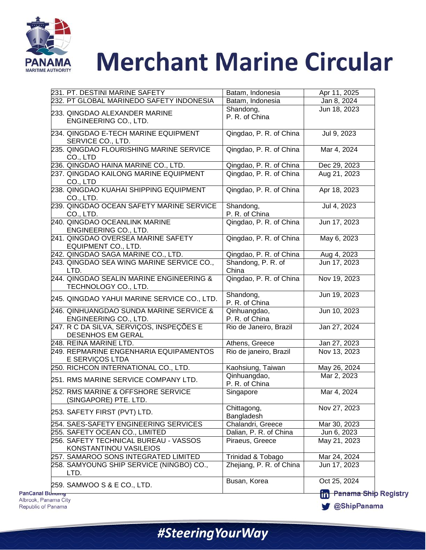

|       | 231. PT. DESTINI MARINE SAFETY                                   | Batam, Indonesia               | Apr 11, 2025             |
|-------|------------------------------------------------------------------|--------------------------------|--------------------------|
|       | 232. PT GLOBAL MARINEDO SAFETY INDONESIA                         | Batam, Indonesia               | Jan 8, 2024              |
|       | 233. QINGDAO ALEXANDER MARINE<br>ENGINEERING CO., LTD.           | Shandong,<br>P. R. of China    | Jun 18, 2023             |
|       | 234. QINGDAO E-TECH MARINE EQUIPMENT<br>SERVICE CO., LTD.        | Qingdao, P. R. of China        | Jul 9, 2023              |
|       | 235. QINGDAO FLOURISHING MARINE SERVICE<br>CO., LTD              | Qingdao, P. R. of China        | Mar 4, 2024              |
|       | 236. QINGDAO HAINA MARINE CO., LTD.                              | Qingdao, P. R. of China        | Dec 29, 2023             |
|       | 237. QINGDAO KAILONG MARINE EQUIPMENT<br>CO., LTD                | Qingdao, P. R. of China        | Aug 21, 2023             |
|       | 238. QINGDAO KUAHAI SHIPPING EQUIPMENT<br>CO., LTD.              | Qingdao, P. R. of China        | Apr 18, 2023             |
|       | 239. QINGDAO OCEAN SAFETY MARINE SERVICE<br>CO., LTD.            | Shandong,<br>P. R. of China    | Jul 4, 2023              |
|       | 240. QINGDAO OCEANLINK MARINE<br>ENGINEERING CO., LTD.           | Qingdao, P. R. of China        | Jun 17, 2023             |
|       | 241. QINGDAO OVERSEA MARINE SAFETY<br>EQUIPMENT CO., LTD.        | Qingdao, P. R. of China        | May 6, 2023              |
|       | 242. QINGDAO SAGA MARINE CO., LTD.                               | Qingdao, P. R. of China        | Aug 4, 2023              |
|       | 243. QINGDAO SEA WING MARINE SERVICE CO.,<br>LTD.                | Shandong, P. R. of<br>China    | Jun 17, 2023             |
|       | 244. QINGDAO SEALIN MARINE ENGINEERING &<br>TECHNOLOGY CO., LTD. | Qingdao, P. R. of China        | Nov 19, 2023             |
|       | 245. QINGDAO YAHUI MARINE SERVICE CO., LTD.                      | Shandong,<br>P. R. of China    | Jun 19, 2023             |
|       | 246. QINHUANGDAO SUNDA MARINE SERVICE &<br>ENGINEERING CO., LTD. | Qinhuangdao,<br>P. R. of China | Jun 10, 2023             |
|       | 247. R C DA SILVA, SERVIÇOS, INSPEÇÕES E<br>DESENHOS EM GERAL    | Rio de Janeiro, Brazil         | Jan 27, 2024             |
|       | 248. REINA MARINE LTD.                                           | Athens, Greece                 | Jan 27, 2023             |
|       | 249. REPMARINE ENGENHARIA EQUIPAMENTOS<br>E SERVIÇOS LTDA        | Rio de janeiro, Brazil         | Nov 13, 2023             |
|       | 250. RICHCON INTERNATIONAL CO., LTD.                             | Kaohsiung, Taiwan              | May 26, 2024             |
|       | 251. RMS MARINE SERVICE COMPANY LTD.                             | Qinhuangdao,<br>P. R. of China | Mar 2, 2023              |
|       | 252. RMS MARINE & OFFSHORE SERVICE<br>(SINGAPORE) PTE. LTD.      | Singapore                      | Mar 4, 2024              |
|       | 253. SAFETY FIRST (PVT) LTD.                                     | Chittagong,<br>Bangladesh      | Nov 27, 2023             |
|       | 254. SAES-SAFETY ENGINEERING SERVICES                            | Chalandri, Greece              | Mar 30, 2023             |
|       | 255. SAFETY OCEAN CO., LIMITED                                   | Dalian, P. R. of China         | Jun 6, 2023              |
|       | 256. SAFETY TECHNICAL BUREAU - VASSOS<br>KONSTANTINOU VASILEIOS  | Piraeus, Greece                | May 21, 2023             |
|       | 257. SAMAROO SONS INTEGRATED LIMITED                             | Trinidad & Tobago              | Mar 24, 2024             |
|       | 258. SAMYOUNG SHIP SERVICE (NINGBO) CO.,<br>LTD.                 | Zhejiang, P. R. of China       | Jun 17, 2023             |
|       | 259. SAMWOO S & E CO., LTD.                                      | Busan, Korea                   | Oct 25, 2024             |
| umumy |                                                                  |                                | <b>Panama Ship</b><br>in |

**Registry**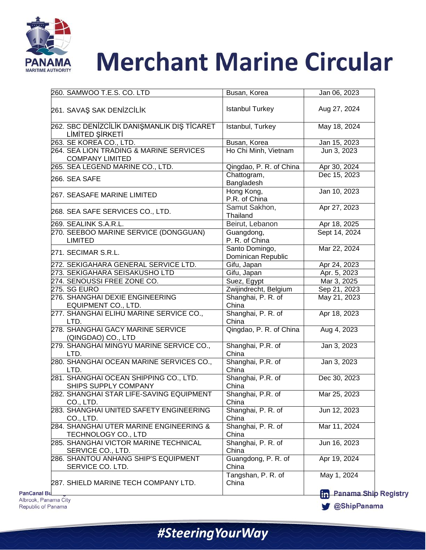

|                                                                   | Busan, Korea                         | Jan 06, 2023  |
|-------------------------------------------------------------------|--------------------------------------|---------------|
| 261. SAVAŞ SAK DENİZCİLİK                                         | <b>Istanbul Turkey</b>               | Aug 27, 2024  |
| 262. SBC DENİZCİLİK DANIŞMANLIK DIŞ TİCARET<br>LİMİTED ŞİRKETİ    | Istanbul, Turkey                     | May 18, 2024  |
| 263. SE KOREA CO., LTD.                                           | Busan, Korea                         | Jan 15, 2023  |
| 264. SEA LION TRADING & MARINE SERVICES<br><b>COMPANY LIMITED</b> | Ho Chi Minh, Vietnam                 | Jun 3, 2023   |
| 265. SEA LEGEND MARINE CO., LTD.                                  | Qingdao, P. R. of China              | Apr 30, 2024  |
| 266. SEA SAFE                                                     | Chattogram,<br>Bangladesh            | Dec 15, 2023  |
| 267. SEASAFE MARINE LIMITED                                       | Hong Kong,<br>P.R. of China          | Jan 10, 2023  |
| 268. SEA SAFE SERVICES CO., LTD.                                  | Samut Sakhon,<br>Thailand            | Apr 27, 2023  |
| 269. SEALINK S.A.R.L.                                             | Beirut, Lebanon                      | Apr 18, 2025  |
| 270. SEEBOO MARINE SERVICE (DONGGUAN)<br><b>LIMITED</b>           | Guangdong,<br>P. R. of China         | Sept 14, 2024 |
| 271. SECIMAR S.R.L.                                               | Santo Domingo,<br>Dominican Republic | Mar 22, 2024  |
| 272. SEKIGAHARA GENERAL SERVICE LTD.                              | Gifu, Japan                          | Apr 24, 2023  |
| 273. SEKIGAHARA SEISAKUSHO LTD                                    | Gifu, Japan                          | Apr. 5, 2023  |
| 274. SENOUSSI FREE ZONE CO.                                       | Suez, Egypt                          | Mar 3, 2025   |
| 275. SG EURO                                                      | Zwijindrecht, Belgium                | Sep 21, 2023  |
| 276. SHANGHAI DEXIE ENGINEERING<br>EQUIPMENT CO., LTD.            | Shanghai, P. R. of<br>China          | May 21, 2023  |
| 277. SHANGHAI ELIHU MARINE SERVICE CO.,<br>LTD.                   | Shanghai, P. R. of<br>China          | Apr 18, 2023  |
| 278. SHANGHAI GACY MARINE SERVICE<br>(QINGDAO) CO., LTD           | Qingdao, P. R. of China              | Aug 4, 2023   |
| 279. SHANGHAI MINGYU MARINE SERVICE CO.,<br>LTD.                  | Shanghai, P.R. of<br>China           | Jan 3, 2023   |
| 280. SHANGHAI OCEAN MARINE SERVICES CO.,<br>LTD.                  | Shanghai, P.R. of<br>China           | Jan 3, 2023   |
| 281. SHANGHAI OCEAN SHIPPING CO., LTD.<br>SHIPS SUPPLY COMPANY    | Shanghai, P.R. of<br>China           | Dec 30, 2023  |
| 282. SHANGHAI STAR LIFE-SAVING EQUIPMENT<br>CO., LTD.             | Shanghai, P.R. of<br>China           | Mar 25, 2023  |
| 283. SHANGHAI UNITED SAFETY ENGINEERING<br>CO., LTD.              | Shanghai, P. R. of<br>China          | Jun 12, 2023  |
| 284. SHANGHAI UTER MARINE ENGINEERING &<br>TECHNOLOGY CO., LTD    | Shanghai, P. R. of<br>China          | Mar 11, 2024  |
| 285. SHANGHAI VICTOR MARINE TECHNICAL<br>SERVICE CO., LTD.        | Shanghai, P. R. of<br>China          | Jun 16, 2023  |
| 286. SHANTOU ANHANG SHIP'S EQUIPMENT<br>SERVICE CO. LTD.          | Guangdong, P. R. of<br>China         | Apr 19, 2024  |
|                                                                   | Tangshan, P. R. of                   | May 1, 2024   |
| 287. SHIELD MARINE TECH COMPANY LTD.                              | China                                |               |

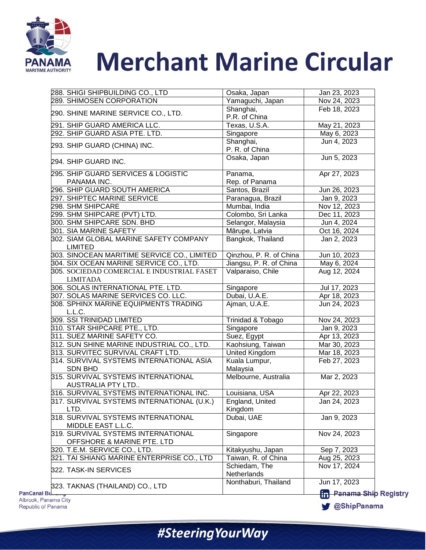

| 288. SHIGI SHIPBUILDING CO., LTD                                  | Osaka, Japan                 | Jan 23, 2023                              |
|-------------------------------------------------------------------|------------------------------|-------------------------------------------|
| 289. SHIMOSEN CORPORATION                                         | Yamaguchi, Japan             | Nov 24, 2023                              |
| 290. SHINE MARINE SERVICE CO., LTD.                               | Shanghai,                    | Feb 18, 2023                              |
|                                                                   | P.R. of China                |                                           |
| 291. SHIP GUARD AMERICA LLC.                                      | Texas, U.S.A.                | May 21, 2023                              |
| 292. SHIP GUARD ASIA PTE. LTD.                                    | Singapore                    | May 6, 2023                               |
| 293. SHIP GUARD (CHINA) INC.                                      | Shanghai,                    | Jun 4, 2023                               |
|                                                                   | P. R. of China               |                                           |
| 294. SHIP GUARD INC.                                              | Osaka, Japan                 | Jun 5, 2023                               |
| 295. SHIP GUARD SERVICES & LOGISTIC                               | Panama,                      | Apr 27, 2023                              |
| PANAMA INC.                                                       | Rep. of Panama               |                                           |
| 296. SHIP GUARD SOUTH AMERICA                                     | Santos, Brazil               | Jun 26, 2023                              |
| 297. SHIPTEC MARINE SERVICE                                       | Paranagua, Brazil            | Jan 9, 2023                               |
| 298. SHM SHIPCARE                                                 | Mumbai, India                | Nov 12, 2023                              |
| 299. SHM SHIPCARE (PVT) LTD.                                      | Colombo, Sri Lanka           | Dec 11, 2023                              |
| 300. SHM SHIPCARE SDN. BHD                                        | Selangor, Malaysia           | Jun 4, 2024                               |
| 301. SIA MARINE SAFETY                                            | Mārupe, Latvia               | Oct 16, 2024                              |
| 302. SIAM GLOBAL MARINE SAFETY COMPANY<br><b>LIMITED</b>          | Bangkok, Thailand            | Jan 2, 2023                               |
| 303. SINOCEAN MARITIME SERVICE CO., LIMITED                       | Qinzhou, P. R. of China      | Jun 10, 2023                              |
| 304. SIX OCEAN MARINE SERVICE CO., LTD.                           | Jiangsu, P. R. of China      | May 6, 2024                               |
| 305. SOCIEDAD COMERCIAL E INDUSTRIAL FASET<br><b>LIMITADA</b>     | Valparaiso, Chile            | Aug 12, 2024                              |
| 306. SOLAS INTERNATIONAL PTE. LTD.                                | Singapore                    | Jul 17, 2023                              |
| 307. SOLAS MARINE SERVICES CO. LLC.                               | Dubai, U.A.E.                | Apr 18, 2023                              |
| 308. SPHINX MARINE EQUIPMENTS TRADING<br>L.L.C.                   | Ajman, U.A.E.                | Jun 24, 2023                              |
| 309. SSI TRINIDAD LIMITED                                         | Trinidad & Tobago            | Nov 24, 2023                              |
| 310. STAR SHIPCARE PTE., LTD.                                     | Singapore                    | Jan 9, 2023                               |
| 311. SUEZ MARINE SAFETY CO.                                       | Suez, Egypt                  | Apr 13, 2023                              |
| 312. SUN SHINE MARINE INDUSTRIAL CO., LTD.                        | Kaohsiung, Taiwan            | Mar 30, 2023                              |
| 313. SURVITEC SURVIVAL CRAFT LTD.                                 | United Kingdom               | Mar 18, 2023                              |
| 314. SURVIVAL SYSTEMS INTERNATIONAL ASIA<br><b>SDN BHD</b>        | Kuala Lumpur,<br>Malaysia    | Feb 27, 2023                              |
| 315. SURVIVAL SYSTEMS INTERNATIONAL<br>AUSTRALIA PTY LTD          | Melbourne, Australia         | Mar 2, 2023                               |
| 316. SURVIVAL SYSTEMS INTERNATIONAL INC.                          | Louisiana, USA               | Apr 22, 2023                              |
| 317. SURVIVAL SYSTEMS INTERNATIONAL (U.K.)<br>LTD.                | England, United<br>Kingdom   | Jan 24, 2023                              |
| 318. SURVIVAL SYSTEMS INTERNATIONAL<br>MIDDLE EAST L.L.C.         | Dubai, UAE                   | Jan 9, 2023                               |
| 319. SURVIVAL SYSTEMS INTERNATIONAL<br>OFFSHORE & MARINE PTE. LTD | Singapore                    | Nov 24, 2023                              |
| 320. T.E.M. SERVICE CO., LTD.                                     | Kitakyushu, Japan            | Sep 7, 2023                               |
| 321. TAI SHIANG MARINE ENTERPRISE CO., LTD                        | Taiwan, R. of China          | Aug 25, 2023                              |
| 322. TASK-IN SERVICES                                             | Schiedam, The<br>Netherlands | Nov 17, 2024                              |
| 323. TAKNAS (THAILAND) CO., LTD<br><b>PanCanal Bu</b>             | Nonthaburi, Thailand         | Jun 17, 2023                              |
|                                                                   |                              | <b>H<sub>n</sub></b> Panama Ship Registry |

#SteeringYourWay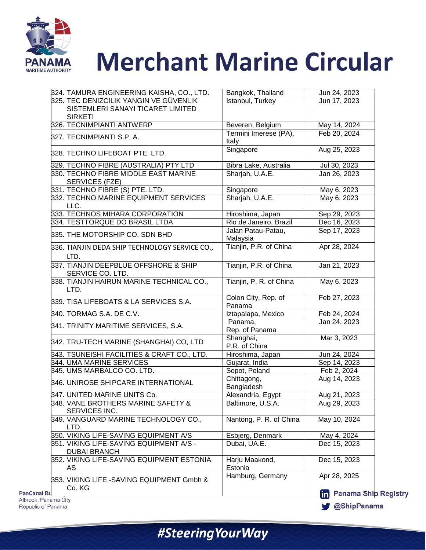

| 324. TAMURA ENGINEERING KAISHA, CO., LTD.                                   | Bangkok, Thailand              | Jun 24, 2023           |
|-----------------------------------------------------------------------------|--------------------------------|------------------------|
| 325. TEC DENIZCILIK YANGIN VE GÜVENLIK<br>SISTEMLERI SANAYI TICARET LIMITED | Istanbul, Turkey               | Jun 17, 2023           |
| <b>SIRKETI</b>                                                              |                                |                        |
| 326. TECNIMPIANTI ANTWERP                                                   | Beveren, Belgium               | May 14, 2024           |
| 327. TECNIMPIANTI S.P. A.                                                   | Termini Imerese (PA),<br>Italy | Feb 20, 2024           |
| 328. TECHNO LIFEBOAT PTE. LTD.                                              | Singapore                      | Aug 25, 2023           |
| 329. TECHNO FIBRE (AUSTRALIA) PTY LTD                                       | Bibra Lake, Australia          | Jul 30, 2023           |
| 330. TECHNO FIBRE MIDDLE EAST MARINE<br>SERVICES (FZE)                      | Sharjah, U.A.E.                | Jan 26, 2023           |
| 331. TECHNO FIBRE (S) PTE. LTD.                                             | Singapore                      | May 6, 2023            |
| 332. TECHNO MARINE EQUIPMENT SERVICES<br>LLC.                               | Sharjah, U.A.E.                | May 6, 2023            |
| 333. TECHNOS MIHARA CORPORATION                                             | Hiroshima, Japan               | Sep 29, 2023           |
| 334. TESTTORQUE DO BRASIL LTDA                                              | Rio de Janeiro, Brazil         | Dec 16, 2023           |
| 335. THE MOTORSHIP CO. SDN BHD                                              | Jalan Patau-Patau,<br>Malaysia | Sep 17, 2023           |
| 336. TIANJIN DEDA SHIP TECHNOLOGY SERVICE CO.,<br>LTD.                      | Tianjin, P.R. of China         | Apr 28, 2024           |
| 337. TIANJIN DEEPBLUE OFFSHORE & SHIP<br>SERVICE CO. LTD.                   | Tianjin, P.R. of China         | Jan 21, 2023           |
| 338. TIANJIN HAIRUN MARINE TECHNICAL CO.,<br>LTD.                           | Tianjin, P. R. of China        | May 6, 2023            |
| 339. TISA LIFEBOATS & LA SERVICES S.A.                                      | Colon City, Rep. of<br>Panama  | Feb 27, 2023           |
| 340. TORMAG S.A. DE C.V.                                                    | Iztapalapa, Mexico             | Feb 24, 2024           |
| 341. TRINITY MARITIME SERVICES, S.A.                                        | Panama,<br>Rep. of Panama      | Jan 24, 2023           |
| 342. TRU-TECH MARINE (SHANGHAI) CO, LTD                                     | Shanghai,<br>P.R. of China     | Mar 3, 2023            |
| 343. TSUNEISHI FACILITIES & CRAFT CO., LTD.                                 | Hiroshima, Japan               | Jun 24, 2024           |
| 344. UMA MARINE SERVICES                                                    | Gujarat, India                 | Sep 14, 2023           |
| 345. UMS MARBALCO CO. LTD.                                                  | Sopot, Poland                  | Feb 2, 2024            |
| 346. UNIROSE SHIPCARE INTERNATIONAL                                         | Chittagong,<br>Bangladesh      | Aug 14, 2023           |
| 347. UNITED MARINE UNITS Co.                                                | Alexandria, Egypt              | Aug 21, 2023           |
| 348. VANE BROTHERS MARINE SAFETY &<br>SERVICES INC.                         | Baltimore, U.S.A.              | Aug 29, 2023           |
| 349. VANGUARD MARINE TECHNOLOGY CO.,<br>LTD.                                | Nantong, P. R. of China        | May 10, 2024           |
| 350. VIKING LIFE-SAVING EQUIPMENT A/S                                       | Esbjerg, Denmark               | May 4, 2024            |
| 351. VIKING LIFE-SAVING EQUIPMENT A/S -<br><b>DUBAI BRANCH</b>              | Dubai, UA.E.                   | Dec 15, 2023           |
| 352. VIKING LIFE-SAVING EQUIPMENT ESTONIA<br>AS                             | Harju Maakond,<br>Estonia      | Dec 15, 2023           |
| 353. VIKING LIFE - SAVING EQUIPMENT Gmbh &<br>Co. KG                        | Hamburg, Germany               | Apr 28, 2025           |
| <b>PanCanal Bu</b><br>Albrook Danama City                                   |                                | <b>fin</b> Panama Ship |

#SteeringYourWay

**Registry**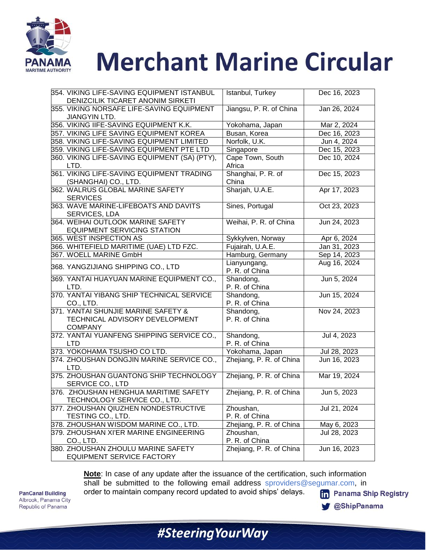

| 354. VIKING LIFE-SAVING EQUIPMENT ISTANBUL    | Istanbul, Turkey         | Dec 16, 2023 |
|-----------------------------------------------|--------------------------|--------------|
| DENIZCILIK TICARET ANONIM SIRKETI             |                          |              |
| 355. VIKING NORSAFE LIFE-SAVING EQUIPMENT     | Jiangsu, P. R. of China  | Jan 26, 2024 |
| JIANGYIN LTD.                                 |                          |              |
| 356. VIKING IIFE-SAVING EQUIPMENT K.K.        | Yokohama, Japan          | Mar 2, 2024  |
| 357. VIKING LIFE SAVING EQUIPMENT KOREA       | Busan, Korea             | Dec 16, 2023 |
| 358. VIKING LIFE-SAVING EQUIPMENT LIMITED     | Norfolk, U.K.            | Jun 4, 2024  |
| 359. VIKING LIFE-SAVING EQUIPMENT PTE LTD     | Singapore                | Dec 15, 2023 |
| 360. VIKING LIFE-SAVING EQUIPMENT (SA) (PTY), | Cape Town, South         | Dec 10, 2024 |
| LTD.                                          | Africa                   |              |
| 361. VIKING LIFE-SAVING EQUIPMENT TRADING     | Shanghai, P. R. of       | Dec 15, 2023 |
| (SHANGHAI) CO., LTD.                          | China                    |              |
| 362. WALRUS GLOBAL MARINE SAFETY              | Sharjah, U.A.E.          | Apr 17, 2023 |
| <b>SERVICES</b>                               |                          |              |
| 363. WAVE MARINE-LIFEBOATS AND DAVITS         | Sines, Portugal          | Oct 23, 2023 |
| SERVICES, LDA                                 |                          |              |
| 364. WEIHAI OUTLOOK MARINE SAFETY             | Weihai, P. R. of China   | Jun 24, 2023 |
| <b>EQUIPMENT SERVICING STATION</b>            |                          |              |
| 365. WEST INSPECTION AS                       | Sykkylven, Norway        | Apr 6, 2024  |
| 366. WHITEFIELD MARITIME (UAE) LTD FZC.       | Fujairah, U.A.E.         | Jan 31, 2023 |
| 367. WOELL MARINE GmbH                        | Hamburg, Germany         | Sep 14, 2023 |
| 368. YANGZIJIANG SHIPPING CO., LTD            | Lianyungang,             | Aug 16, 2024 |
|                                               | P. R. of China           |              |
| 369. YANTAI HUAYUAN MARINE EQUIPMENT CO.,     | Shandong,                | Jun 5, 2024  |
| LTD.                                          | P. R. of China           |              |
| 370. YANTAI YIBANG SHIP TECHNICAL SERVICE     | Shandong,                | Jun 15, 2024 |
| CO., LTD.                                     | P. R. of China           |              |
| 371. YANTAI SHUNJIE MARINE SAFETY &           | Shandong,                | Nov 24, 2023 |
| TECHNICAL ADVISORY DEVELOPMENT                | P. R. of China           |              |
| <b>COMPANY</b>                                |                          |              |
| 372. YANTAI YUANFENG SHIPPING SERVICE CO.,    | Shandong,                | Jul 4, 2023  |
| <b>LTD</b>                                    | P. R. of China           |              |
| 373. YOKOHAMA TSUSHO CO LTD.                  | Yokohama, Japan          | Jul 28, 2023 |
| 374. ZHOUSHAN DONGJIN MARINE SERVICE CO.,     | Zhejiang, P. R. of China | Jun 16, 2023 |
| LTD.                                          |                          |              |
| 375. ZHOUSHAN GUANTONG SHIP TECHNOLOGY        | Zhejiang, P. R. of China | Mar 19, 2024 |
| SERVICE CO., LTD                              |                          |              |
| 376. ZHOUSHAN HENGHUA MARITIME SAFETY         | Zhejiang, P. R. of China | Jun 5, 2023  |
| TECHNOLOGY SERVICE CO., LTD.                  |                          |              |
| 377. ZHOUSHAN QIUZHEN NONDESTRUCTIVE          | Zhoushan,                | Jul 21, 2024 |
| TESTING CO., LTD.                             | P. R. of China           |              |
| 378. ZHOUSHAN WISDOM MARINE CO., LTD.         | Zhejiang, P. R. of China | May 6, 2023  |
| 379. ZHOUSHAN XI'ER MARINE ENGINEERING        | Zhoushan,                | Jul 28, 2023 |
| CO., LTD.                                     | P. R. of China           |              |
| 380. ZHOUSHAN ZHOULU MARINE SAFETY            | Zhejiang, P. R. of China | Jun 16, 2023 |
| <b>EQUIPMENT SERVICE FACTORY</b>              |                          |              |

**Note**: In case of any update after the issuance of the certification, such information shall be submitted to the following email address [sproviders@segumar.com,](mailto:sproviders@segumar.com) in order to maintain company record updated to avoid ships' delays.

**PanCanal Building** Albrook, Panama City Republic of Panama

**fin** Panama Ship Registry

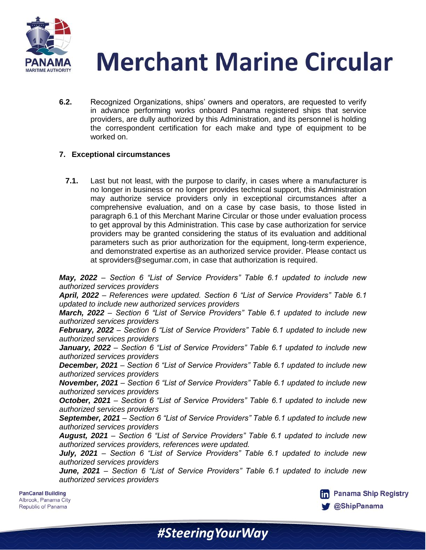

**6.2.** Recognized Organizations, ships' owners and operators, are requested to verify in advance performing works onboard Panama registered ships that service providers, are dully authorized by this Administration, and its personnel is holding the correspondent certification for each make and type of equipment to be worked on.

#### **7. Exceptional circumstances**

**7.1.** Last but not least, with the purpose to clarify, in cases where a manufacturer is no longer in business or no longer provides technical support, this Administration may authorize service providers only in exceptional circumstances after a comprehensive evaluation, and on a case by case basis, to those listed in paragraph 6.1 of this Merchant Marine Circular or those under evaluation process to get approval by this Administration. This case by case authorization for service providers may be granted considering the status of its evaluation and additional parameters such as prior authorization for the equipment, long-term experience, and demonstrated expertise as an authorized service provider. Please contact us at [sproviders@segumar.com,](mailto:sproviders@segumar.com) in case that authorization is required.

*May, 2022 – Section 6 "List of Service Providers" Table 6.1 updated to include new authorized services providers* 

*April, 2022 – References were updated. Section 6 "List of Service Providers" Table 6.1 updated to include new authorized services providers* 

*March, 2022 – Section 6 "List of Service Providers" Table 6.1 updated to include new authorized services providers* 

*February, 2022 – Section 6 "List of Service Providers" Table 6.1 updated to include new authorized services providers* 

*January, 2022 – Section 6 "List of Service Providers" Table 6.1 updated to include new authorized services providers* 

*December, 2021 – Section 6 "List of Service Providers" Table 6.1 updated to include new authorized services providers* 

*November, 2021 – Section 6 "List of Service Providers" Table 6.1 updated to include new authorized services providers* 

*October, 2021 – Section 6 "List of Service Providers" Table 6.1 updated to include new authorized services providers* 

*September, 2021 – Section 6 "List of Service Providers" Table 6.1 updated to include new authorized services providers* 

*August, 2021 – Section 6 "List of Service Providers" Table 6.1 updated to include new authorized services providers, references were updated.*

*July, 2021 – Section 6 "List of Service Providers" Table 6.1 updated to include new authorized services providers*

*June, 2021 – Section 6 "List of Service Providers" Table 6.1 updated to include new authorized services providers*

#SteeringYourWay

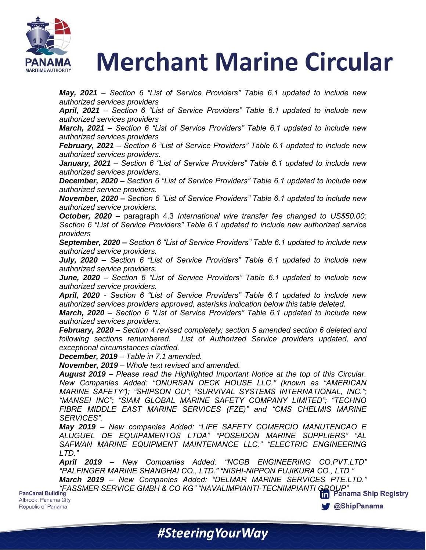

*May, 2021 – Section 6 "List of Service Providers" Table 6.1 updated to include new authorized services providers*

*April, 2021 – Section 6 "List of Service Providers" Table 6.1 updated to include new authorized services providers*

*March, 2021 – Section 6 "List of Service Providers" Table 6.1 updated to include new authorized services providers*

*February, 2021 – Section 6 "List of Service Providers" Table 6.1 updated to include new authorized services providers.* 

*January, 2021 – Section 6 "List of Service Providers" Table 6.1 updated to include new authorized services providers.* 

*December, 2020 – Section 6 "List of Service Providers" Table 6.1 updated to include new authorized service providers.*

*November, 2020 – Section 6 "List of Service Providers" Table 6.1 updated to include new authorized service providers.*

*October, 2020 –* paragraph 4.3 *International wire transfer fee changed to US\$50.00; Section 6 "List of Service Providers" Table 6.1 updated to include new authorized service providers*

*September, 2020 – Section 6 "List of Service Providers" Table 6.1 updated to include new authorized service providers.*

*July, 2020 – Section 6 "List of Service Providers" Table 6.1 updated to include new authorized service providers.*

*June, 2020 – Section 6 "List of Service Providers" Table 6.1 updated to include new authorized service providers.*

*April, 2020 - Section 6 "List of Service Providers" Table 6.1 updated to include new authorized services providers approved, asterisks indication below this table deleted.*

*March, 2020 – Section 6 "List of Service Providers" Table 6.1 updated to include new authorized services providers.* 

*February, 2020 – Section 4 revised completely; section 5 amended section 6 deleted and following sections renumbered. List of Authorized Service providers updated, and exceptional circumstances clarified.*

*December, 2019 – Table in 7.1 amended.*

*November, 2019 – Whole text revised and amended.*

*August 2019 – Please read the Highlighted Important Notice at the top of this Circular. New Companies Added: "ONURSAN DECK HOUSE LLC." (known as "AMERICAN MARINE SAFETY"); "SHIPSON OU"; "SURVIVAL SYSTEMS INTERNATIONAL, INC."; "MANSEI INC"; "SIAM GLOBAL MARINE SAFETY COMPANY LIMITED"; "TECHNO FIBRE MIDDLE EAST MARINE SERVICES (FZE)" and "CMS CHELMIS MARINE SERVICES".*

*May 2019 – New companies Added: "LIFE SAFETY COMERCIO MANUTENCAO E ALUGUEL DE EQUIPAMENTOS LTDA" "POSEIDON MARINE SUPPLIERS" "AL SAFWAN MARINE EQUIPMENT MAINTENANCE LLC." "ELECTRIC ENGINEERING LTD."*

*April 2019 – New Companies Added: "NCGB ENGINEERING CO.PVT.LTD" "PALFINGER MARINE SHANGHAI CO., LTD." "NISHI-NIPPON FUJIKURA CO., LTD."*

*March 2019 – New Companies Added: "DELMAR MARINE SERVICES PTE.LTD." "FASSMER SERVICE GMBH & CO KG" "NAVALIMPIANTI-TECNIMPIANTI GROUP"*

Albrook, Panama City Republic of Panama

**@ShipPanama** 

#Steering Your Way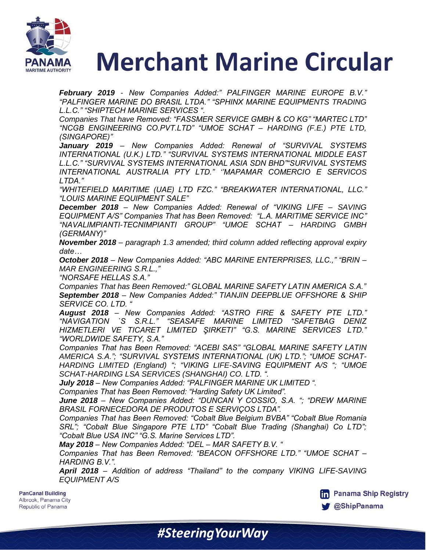

*February 2019 - New Companies Added:" PALFINGER MARINE EUROPE B.V." "PALFINGER MARINE DO BRASIL LTDA." "SPHINX MARINE EQUIPMENTS TRADING L.L.C." "SHIPTECH MARINE SERVICES ".*

*Companies That have Removed: "FASSMER SERVICE GMBH & CO KG" "MARTEC LTD" "NCGB ENGINEERING CO.PVT.LTD" "UMOE SCHAT – HARDING (F.E.) PTE LTD, (SINGAPORE)"*

*January 2019 – New Companies Added: Renewal of "SURVIVAL SYSTEMS INTERNATIONAL (U.K.) LTD." "SURVIVAL SYSTEMS INTERNATIONAL MIDDLE EAST L.L.C." "SURVIVAL SYSTEMS INTERNATIONAL ASIA SDN BHD""SURVIVAL SYSTEMS INTERNATIONAL AUSTRALIA PTY LTD." ""MAPAMAR COMERCIO E SERVICOS LTDA."* 

*"WHITEFIELD MARITIME (UAE) LTD FZC." "BREAKWATER INTERNATIONAL, LLC." "LOUIS MARINE EQUIPMENT SALE"*

*December 2018 – New Companies Added: Renewal of "VIKING LIFE – SAVING EQUIPMENT A/S" Companies That has Been Removed: "L.A. MARITIME SERVICE INC" "NAVALIMPIANTI-TECNIMPIANTI GROUP" "UMOE SCHAT – HARDING GMBH (GERMANY)"*

*November 2018 – paragraph 1.3 amended; third column added reflecting approval expiry date…*

*October 2018 – New Companies Added: "ABC MARINE ENTERPRISES, LLC.," "BRIN – MAR ENGINEERING S.R.L.,"*

*"NORSAFE HELLAS S.A."*

*Companies That has Been Removed:" GLOBAL MARINE SAFETY LATIN AMERICA S.A." September 2018 – New Companies Added:" TIANJIN DEEPBLUE OFFSHORE & SHIP SERVICE CO. LTD. "*

*August 2018 – New Companies Added: "ASTRO FIRE & SAFETY PTE LTD." "NAVIGATION `S S.R.L." "SEASAFE MARINE LIMITED "SAFETBAG DENIZ HIZMETLERI VE TICARET LIMITED ŞIRKETI" "G.S. MARINE SERVICES LTD." "WORLDWIDE SAFETY, S.A."*

*Companies That has Been Removed: "ACEBI SAS" "GLOBAL MARINE SAFETY LATIN AMERICA S.A."; "SURVIVAL SYSTEMS INTERNATIONAL (UK) LTD."; "UMOE SCHAT-HARDING LIMITED (England) "; "VIKING LIFE-SAVING EQUIPMENT A/S "; "UMOE SCHAT-HARDING LSA SERVICES (SHANGHAI) CO. LTD. ".*

*July 2018 – New Companies Added: "PALFINGER MARINE UK LIMITED ".*

*Companies That has Been Removed: "Harding Safety UK Limited".*

*June 2018 – New Companies Added: "DUNCAN Y COSSIO, S.A. "; "DREW MARINE BRASIL FORNECEDORA DE PRODUTOS E SERVIÇOS LTDA".*

*Companies That has Been Removed: "Cobalt Blue Belgium BVBA" "Cobalt Blue Romania SRL"; "Cobalt Blue Singapore PTE LTD" "Cobalt Blue Trading (Shanghai) Co LTD"; "Cobalt Blue USA INC" "G.S. Marine Services LTD".*

*May 2018 – New Companies Added: "DEL – MAR SAFETY B.V. "* 

*Companies That has Been Removed: "BEACON OFFSHORE LTD." "UMOE SCHAT – HARDING B.V.".*

*April 2018 – Addition of address "Thailand" to the company VIKING LIFE-SAVING EQUIPMENT A/S*

#SteeringYourWay

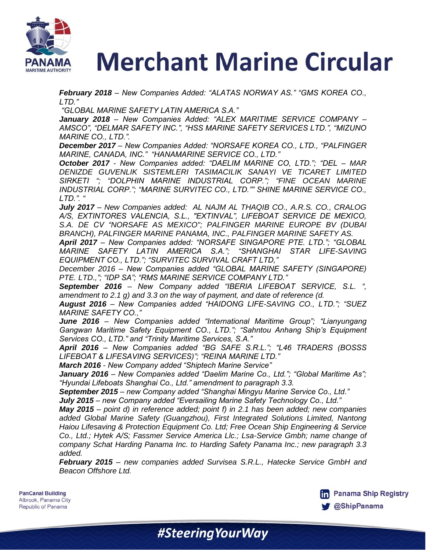

*February 2018 – New Companies Added: "ALATAS NORWAY AS." "GMS KOREA CO., LTD."*

*"GLOBAL MARINE SAFETY LATIN AMERICA S.A."*

*January 2018 – New Companies Added: "ALEX MARITIME SERVICE COMPANY – AMSCO", "DELMAR SAFETY INC.", "HSS MARINE SAFETY SERVICES LTD.", "MIZUNO MARINE CO., LTD.".*

*December 2017 – New Companies Added: "NORSAFE KOREA CO., LTD., "PALFINGER MARINE, CANADA, INC." "HANAMARINE SERVICE CO., LTD."*

*October 2017 - New Companies added: "DAELIM MARINE CO, LTD."; "DEL – MAR DENIZDE GUVENLIK SISTEMLERI TASIMACILIK SANAYI VE TICARET LIMITED SIRKETI "; "DOLPHIN MARINE INDUSTRIAL CORP."; "FINE OCEAN MARINE INDUSTRIAL CORP."; "MARINE SURVITEC CO., LTD."" SHINE MARINE SERVICE CO., LTD.". "*

*July 2017 – New Companies added: AL NAJM AL THAQIB CO., A.R.S. CO., CRALOG A/S, EXTINTORES VALENCIA, S.L., "EXTINVAL", LIFEBOAT SERVICE DE MEXICO, S.A. DE CV "NORSAFE AS MEXICO"; PALFINGER MARINE EUROPE BV (DUBAI BRANCH), PALFINGER MARINE PANAMA, INC., PALFINGER MARINE SAFETY AS.*

*April 2017 – New Companies added: "NORSAFE SINGAPORE PTE. LTD."; "GLOBAL MARINE SAFETY LATIN AMERICA S.A."; "SHANGHAI STAR LIFE-SAVING EQUIPMENT CO., LTD."; "SURVITEC SURVIVAL CRAFT LTD,"*

*December 2016 – New Companies added "GLOBAL MARINE SAFETY (SINGAPORE) PTE. LTD.,"; "IDP SA"; "RMS MARINE SERVICE COMPANY LTD."*

*September 2016 – New Company added "IBERIA LIFEBOAT SERVICE, S.L. ", amendment to 2.1 g) and 3.3 on the way of payment, and date of reference (d.*

*August 2016 – New Companies added "HAIDONG LIFE-SAVING CO., LTD."; "SUEZ MARINE SAFETY CO.,"*

*June 2016 – New Companies added "International Maritime Group"; "Lianyungang Gangwan Maritime Safety Equipment CO., LTD."; "Sahntou Anhang Ship"s Equipment Services CO., LTD." and "Trinity Maritime Services, S.A."*

*April 2016 – New Companies added "BG SAFE S.R.L."; "L46 TRADERS (BOSSS LIFEBOAT & LIFESAVING SERVICES)"; "REINA MARINE LTD."*

*March 2016 - New Company added "Shiptech Marine Service"*

*January 2016 – New Companies added "Daelim Marine Co., Ltd."; "Global Maritime As"; "Hyundai Lifeboats Shanghai Co., Ltd." amendment to paragraph 3.3.*

*September 2015 – new Company added "Shanghai Mingyu Marine Service Co., Ltd."*

*July 2015 – new Company added "Eversailing Marine Safety Technology Co., Ltd."*

*May 2015 – point d) in reference added; point f) in 2.1 has been added; new companies*  added Global Marine Safety (Guangzhou), First Integrated Solutions Limited, Nantong *Haiou Lifesaving & Protection Equipment Co. Ltd; Free Ocean Ship Engineering & Service*  Co., Ltd.; Hytek A/S; Fassmer Service America Llc.; Lsa-Service Gmbh; name change of *company Schat Harding Panama Inc. to Harding Safety Panama Inc.; new paragraph 3.3 added.*

*February 2015 – new companies added Survisea S.R.L., Hatecke Service GmbH and Beacon Offshore Ltd.*

#SteeringYourWay